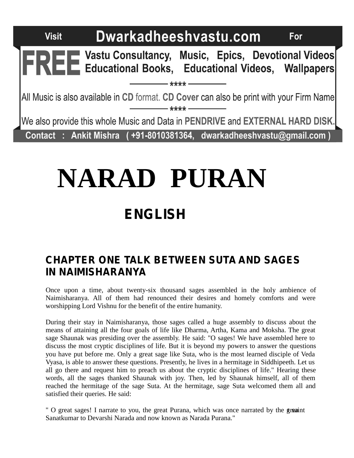

# **NARAD PURAN**

# **ENGLISH**

# **CHAPTER ONE TALK BETWEEN SUTA AND SAGES IN NAIMISHARANYA**

Once upon a time, about twenty-six thousand sages assembled in the holy ambience of Naimisharanya. All of them had renounced their desires and homely comforts and were worshipping Lord Vishnu for the benefit of the entire humanity.

During their stay in Naimisharanya, those sages called a huge assembly to discuss about the means of attaining all the four goals of life like Dharma, Artha, Kama and Moksha. The great sage Shaunak was presiding over the assembly. He said: "O sages! We have assembled here to discuss the most cryptic disciplines of life. But it is beyond my powers to answer the questions you have put before me. Only a great sage like Suta, who is the most learned disciple of Veda Vyasa, is able to answer these questions. Presently, he lives in a hermitage in Siddhipeeth. Let us all go there and request him to preach us about the cryptic disciplines of life." Hearing these words, all the sages thanked Shaunak with joy. Then, led by Shaunak himself, all of them reached the hermitage of the sage Suta. At the hermitage, sage Suta welcomed them all and satisfied their queries. He said:

" O great sages! I narrate to you, the great Purana, which was once narrated by the greaint Sanatkumar to Devarshi Narada and now known as Narada Purana."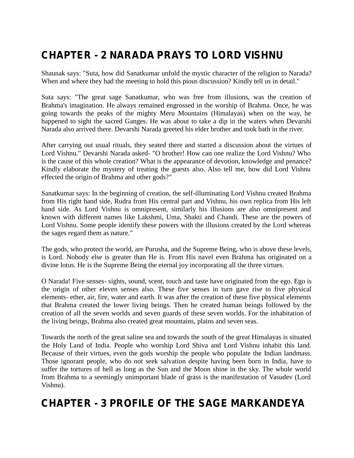# **CHAPTER - 2 NARADA PRAYS TO LORD VISHNU**

Shaunak says: "Suta, how did Sanatkumar unfold the mystic character of the religion to Narada? When and where they had the meeting to hold this pious discussion? Kindly tell us in detail."

Suta says: "The great sage Sanatkumar, who was free from illusions, was the creation of Brahma's imagination. He always remained engrossed in the worship of Brahma. Once, he was going towards the peaks of the mighty Meru Mountains (Himalayas) when on the way, he happened to sight the sacred Ganges. He was about to take a dip in the waters when Devarshi Narada also arrived there. Devarshi Narada greeted his elder brother and took bath in the river.

After carrying out usual rituals, they seated there and started a discussion about the virtues of Lord Vishnu." Devarshi Narada asked- "O brother! How can one realize the Lord Vishnu? Who is the cause of this whole creation? What is the appearance of devotion, knowledge and penance? Kindly elaborate the mystery of treating the guests also. Also tell me, how did Lord Vishnu effected the origin of Brahma and other gods?"

Sanatkumar says: In the beginning of creation, the self-illuminating Lord Vishnu created Brahma from His right hand side, Rudra from His central part and Vishnu, his own replica from His left hand side. As Lord Vishnu is omnipresent, similarly his illusions are also omnipresent and known with different names like Lakshmi, Uma, Shakti and Chandi. These are the powers of Lord Vishnu. Some people identify these powers with the illusions created by the Lord whereas the sages regard them as nature."

The gods, who protect the world, are Purusha, and the Supreme Being, who is above these levels, is Lord. Nobody else is greater than He is. From His navel even Brahma has originated on a divine lotus. He is the Supreme Being the eternal joy incorporating all the three virtues.

O Narada! Five senses- sights, sound, scent, touch and taste have originated from the ego. Ego is the origin of other eleven senses also. These five senses in turn gave rise to five physical elements- ether, air, fire, water and earth. It was after the creation of these five physical elements that Brahma created the lower living beings. Then he created human beings followed by the creation of all the seven worlds and seven guards of these seven worlds. For the inhabitation of the living beings, Brahma also created great mountains, plains and seven seas.

Towards the north of the great saline sea and towards the south of the great Himalayas is situated the Holy Land of India. People who worship Lord Shiva and Lord Vishnu inhabit this land. Because of their virtues, even the gods worship the people who populate the Indian landmass. Those ignorant people, who do not seek salvation despite having been born in India, have to suffer the tortures of hell as long as the Sun and the Moon shine in the sky. The whole world from Brahma to a seemingly unimportant blade of grass is the manifestation of Vasudev (Lord Vishnu).

#### **CHAPTER - 3 PROFILE OF THE SAGE MARKANDEYA**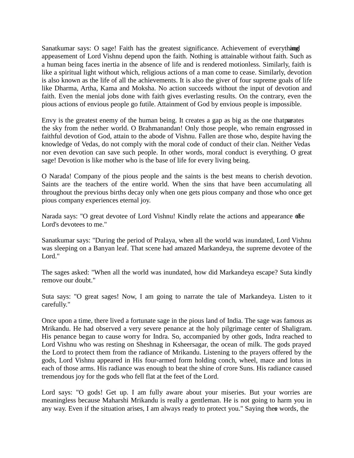Sanatkumar says: O sage! Faith has the greatest significance. Achievement of everything appeasement of Lord Vishnu depend upon the faith. Nothing is attainable without faith. Such as a human being faces inertia in the absence of life and is rendered motionless. Similarly, faith is like a spiritual light without which, religious actions of a man come to cease. Similarly, devotion is also known as the life of all the achievements. It is also the giver of four supreme goals of life like Dharma, Artha, Kama and Moksha. No action succeeds without the input of devotion and faith. Even the menial jobs done with faith gives everlasting results. On the contrary, even the pious actions of envious people go futile. Attainment of God by envious people is impossible.

Envy is the greatest enemy of the human being. It creates a gap as big as the one that parates the sky from the nether world. O Brahmanandan! Only those people, who remain engrossed in faithful devotion of God, attain to the abode of Vishnu. Fallen are those who, despite having the knowledge of Vedas, do not comply with the moral code of conduct of their clan. Neither Vedas nor even devotion can save such people. In other words, moral conduct is everything. O great sage! Devotion is like mother who is the base of life for every living being.

O Narada! Company of the pious people and the saints is the best means to cherish devotion. Saints are the teachers of the entire world. When the sins that have been accumulating all throughout the previous births decay only when one gets pious company and those who once get pious company experiences eternal joy.

Narada says: "O great devotee of Lord Vishnu! Kindly relate the actions and appearance office Lord's devotees to me."

Sanatkumar says: "During the period of Pralaya, when all the world was inundated, Lord Vishnu was sleeping on a Banyan leaf. That scene had amazed Markandeya, the supreme devotee of the Lord."

The sages asked: "When all the world was inundated, how did Markandeya escape? Suta kindly remove our doubt."

Suta says: "O great sages! Now, I am going to narrate the tale of Markandeya. Listen to it carefully."

Once upon a time, there lived a fortunate sage in the pious land of India. The sage was famous as Mrikandu. He had observed a very severe penance at the holy pilgrimage center of Shaligram. His penance began to cause worry for Indra. So, accompanied by other gods, Indra reached to Lord Vishnu who was resting on Sheshnag in Ksheersagar, the ocean of milk. The gods prayed the Lord to protect them from the radiance of Mrikandu. Listening to the prayers offered by the gods, Lord Vishnu appeared in His four-armed form holding conch, wheel, mace and lotus in each of those arms. His radiance was enough to beat the shine of crore Suns. His radiance caused tremendous joy for the gods who fell flat at the feet of the Lord.

Lord says: "O gods! Get up. I am fully aware about your miseries. But your worries are meaningless because Maharshi Mrikandu is really a gentleman. He is not going to harm you in any way. Even if the situation arises, I am always ready to protect you." Saying the words, the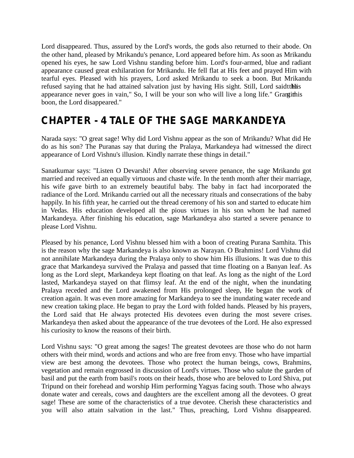Lord disappeared. Thus, assured by the Lord's words, the gods also returned to their abode. On the other hand, pleased by Mrikandu's penance, Lord appeared before him. As soon as Mrikandu opened his eyes, he saw Lord Vishnu standing before him. Lord's four-armed, blue and radiant appearance caused great exhilaration for Mrikandu. He fell flat at His feet and prayed Him with tearful eyes. Pleased with his prayers, Lord asked Mrikandu to seek a boon. But Mrikandu refused saying that he had attained salvation just by having His sight. Still, Lord saidtthesis appearance never goes in vain," So, I will be your son who will live a long life." Grangithis boon, the Lord disappeared."

#### **CHAPTER - 4 TALE OF THE SAGE MARKANDEYA**

Narada says: "O great sage! Why did Lord Vishnu appear as the son of Mrikandu? What did He do as his son? The Puranas say that during the Pralaya, Markandeya had witnessed the direct appearance of Lord Vishnu's illusion. Kindly narrate these things in detail."

Sanatkumar says: "Listen O Devarshi! After observing severe penance, the sage Mrikandu got married and received an equally virtuous and chaste wife. In the tenth month after their marriage, his wife gave birth to an extremely beautiful baby. The baby in fact had incorporated the radiance of the Lord. Mrikandu carried out all the necessary rituals and consecrations of the baby happily. In his fifth year, he carried out the thread ceremony of his son and started to educate him in Vedas. His education developed all the pious virtues in his son whom he had named Markandeya. After finishing his education, sage Markandeya also started a severe penance to please Lord Vishnu.

Pleased by his penance, Lord Vishnu blessed him with a boon of creating Purana Samhita. This is the reason why the sage Markandeya is also known as Narayan. O Brahmins! Lord Vishnu did not annihilate Markandeya during the Pralaya only to show him His illusions. It was due to this grace that Markandeya survived the Pralaya and passed that time floating on a Banyan leaf. As long as the Lord slept, Markandeya kept floating on that leaf. As long as the night of the Lord lasted, Markandeya stayed on that flimsy leaf. At the end of the night, when the inundating Pralaya receded and the Lord awakened from His prolonged sleep, He began the work of creation again. It was even more amazing for Markandeya to see the inundating water recede and new creation taking place. He began to pray the Lord with folded hands. Pleased by his prayers, the Lord said that He always protected His devotees even during the most severe crises. Markandeya then asked about the appearance of the true devotees of the Lord. He also expressed his curiosity to know the reasons of their birth.

Lord Vishnu says: "O great among the sages! The greatest devotees are those who do not harm others with their mind, words and actions and who are free from envy. Those who have impartial view are best among the devotees. Those who protect the human beings, cows, Brahmins, vegetation and remain engrossed in discussion of Lord's virtues. Those who salute the garden of basil and put the earth from basil's roots on their heads, those who are beloved to Lord Shiva, put Tripund on their forehead and worship Him performing Yagyas facing south. Those who always donate water and cereals, cows and daughters are the excellent among all the devotees. O great sage! These are some of the characteristics of a true devotee. Cherish these characteristics and you will also attain salvation in the last." Thus, preaching, Lord Vishnu disappeared.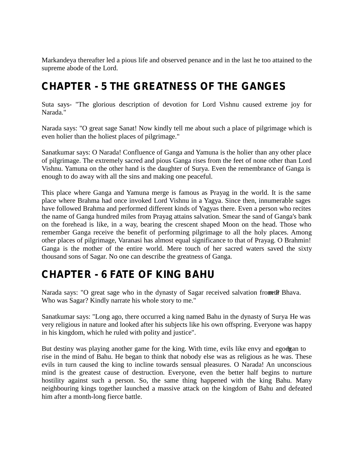Markandeya thereafter led a pious life and observed penance and in the last he too attained to the supreme abode of the Lord.

# **CHAPTER - 5 THE GREATNESS OF THE GANGES**

Suta says- "The glorious description of devotion for Lord Vishnu caused extreme joy for Narada."

Narada says: "O great sage Sanat! Now kindly tell me about such a place of pilgrimage which is even holier than the holiest places of pilgrimage."

Sanatkumar says: O Narada! Confluence of Ganga and Yamuna is the holier than any other place of pilgrimage. The extremely sacred and pious Ganga rises from the feet of none other than Lord Vishnu. Yamuna on the other hand is the daughter of Surya. Even the remembrance of Ganga is enough to do away with all the sins and making one peaceful.

This place where Ganga and Yamuna merge is famous as Prayag in the world. It is the same place where Brahma had once invoked Lord Vishnu in a Yagya. Since then, innumerable sages have followed Brahma and performed different kinds of Yagyas there. Even a person who recites the name of Ganga hundred miles from Prayag attains salvation. Smear the sand of Ganga's bank on the forehead is like, in a way, bearing the crescent shaped Moon on the head. Those who remember Ganga receive the benefit of performing pilgrimage to all the holy places. Among other places of pilgrimage, Varanasi has almost equal significance to that of Prayag. O Brahmin! Ganga is the mother of the entire world. Mere touch of her sacred waters saved the sixty thousand sons of Sagar. No one can describe the greatness of Ganga.

# **CHAPTER - 6 FATE OF KING BAHU**

Narada says: "O great sage who in the dynasty of Sagar received salvation frometR Bhava. Who was Sagar? Kindly narrate his whole story to me."

Sanatkumar says: "Long ago, there occurred a king named Bahu in the dynasty of Surya. He was very religious in nature and looked after his subjects like his own offspring. Everyone was happy in his kingdom, which he ruled with polity and justice".

But destiny was playing another game for the king. With time, evils like envy and egodgan to rise in the mind of Bahu. He began to think that nobody else was as religious as he was. These evils in turn caused the king to incline towards sensual pleasures. O Narada! An unconscious mind is the greatest cause of destruction. Everyone, even the better half begins to nurture hostility against such a person. So, the same thing happened with the king Bahu. Many neighbouring kings together launched a massive attack on the kingdom of Bahu and defeated him after a month-long fierce battle.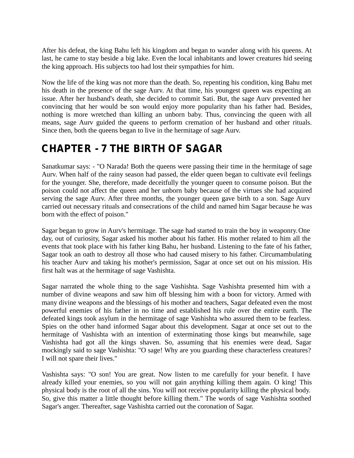After his defeat, the king Bahu left his kingdom and began to wander along with his queens. At last, he came to stay beside a big lake. Even the local inhabitants and lower creatures hid seeing the king approach. His subjects too had lost their sympathies for him.

Now the life of the king was not more than the death. So, repenting his condition, king Bahu met his death in the presence of the sage Aurv. At that time, his youngest queen was expecting an issue. After her husband's death, she decided to commit Sati. But, the sage Aurv prevented her convincing that her would be son would enjoy more popularity than his father had. Besides, nothing is more wretched than killing an unborn baby. Thus, convincing the queen with all means, sage Aurv guided the queens to perform cremation of her husband and other rituals. Since then, both the queens began to live in the hermitage of sage Aurv.

#### **CHAPTER - 7 THE BIRTH OF SAGAR**

Sanatkumar says: - "O Narada! Both the queens were passing their time in the hermitage of sage Aurv. When half of the rainy season had passed, the elder queen began to cultivate evil feelings for the younger. She, therefore, made deceitfully the younger queen to consume poison. But the poison could not affect the queen and her unborn baby because of the virtues she had acquired serving the sage Aurv. After three months, the younger queen gave birth to a son. Sage Aurv carried out necessary rituals and consecrations of the child and named him Sagar because he was born with the effect of poison."

Sagar began to grow in Aurv's hermitage. The sage had started to train the boy in weaponry. One day, out of curiosity, Sagar asked his mother about his father. His mother related to him all the events that took place with his father king Bahu, her husband. Listening to the fate of his father, Sagar took an oath to destroy all those who had caused misery to his father. Circumambulating his teacher Aurv and taking his mother's permission, Sagar at once set out on his mission. His first halt was at the hermitage of sage Vashishta.

Sagar narrated the whole thing to the sage Vashishta. Sage Vashishta presented him with a number of divine weapons and saw him off blessing him with a boon for victory. Armed with many divine weapons and the blessings of his mother and teachers, Sagar defeated even the most powerful enemies of his father in no time and established his rule over the entire earth. The defeated kings took asylum in the hermitage of sage Vashishta who assured them to be fearless. Spies on the other hand informed Sagar about this development. Sagar at once set out to the hermitage of Vashishta with an intention of exterminating those kings but meanwhile, sage Vashishta had got all the kings shaven. So, assuming that his enemies were dead, Sagar mockingly said to sage Vashishta: "O sage! Why are you guarding these characterless creatures? I will not spare their lives."

Vashishta says: "O son! You are great. Now listen to me carefully for your benefit. I have already killed your enemies, so you will not gain anything killing them again. O king! This physical body is the root of all the sins. You will not receive popularity killing the physical body. So, give this matter a little thought before killing them." The words of sage Vashishta soothed Sagar's anger. Thereafter, sage Vashishta carried out the coronation of Sagar.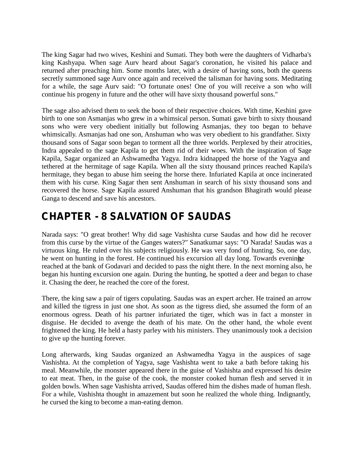The king Sagar had two wives, Keshini and Sumati. They both were the daughters of Vidharba's king Kashyapa. When sage Aurv heard about Sagar's coronation, he visited his palace and returned after preaching him. Some months later, with a desire of having sons, both the queens secretly summoned sage Aurv once again and received the talisman for having sons. Meditating for a while, the sage Aurv said: "O fortunate ones! One of you will receive a son who will continue his progeny in future and the other will have sixty thousand powerful sons."

The sage also advised them to seek the boon of their respective choices. With time, Keshini gave birth to one son Asmanjas who grew in a whimsical person. Sumati gave birth to sixty thousand sons who were very obedient initially but following Asmanjas, they too began to behave whimsically. Asmanjas had one son, Anshuman who was very obedient to his grandfather. Sixty thousand sons of Sagar soon began to torment all the three worlds. Perplexed by their atrocities, Indra appealed to the sage Kapila to get them rid of their woes. With the inspiration of Sage Kapila, Sagar organized an Ashwamedha Yagya. Indra kidnapped the horse of the Yagya and tethered at the hermitage of sage Kapila. When all the sixty thousand princes reached Kapila's hermitage, they began to abuse him seeing the horse there. Infuriated Kapila at once incinerated them with his curse. King Sagar then sent Anshuman in search of his sixty thousand sons and recovered the horse. Sage Kapila assured Anshuman that his grandson Bhagirath would please Ganga to descend and save his ancestors.

# **CHAPTER - 8 SALVATION OF SAUDAS**

Narada says: "O great brother! Why did sage Vashishta curse Saudas and how did he recover from this curse by the virtue of the Ganges waters?" Sanatkumar says: "O Narada! Saudas was a virtuous king. He ruled over his subjects religiously. He was very fond of hunting. So, one day, he went on hunting in the forest. He continued his excursion all day long. Towards evening reached at the bank of Godavari and decided to pass the night there. In the next morning also, he began his hunting excursion one again. During the hunting, he spotted a deer and began to chase it. Chasing the deer, he reached the core of the forest.

There, the king saw a pair of tigers copulating. Saudas was an expert archer. He trained an arrow and killed the tigress in just one shot. As soon as the tigress died, she assumed the form of an enormous ogress. Death of his partner infuriated the tiger, which was in fact a monster in disguise. He decided to avenge the death of his mate. On the other hand, the whole event frightened the king. He held a hasty parley with his ministers. They unanimously took a decision to give up the hunting forever.

Long afterwards, king Saudas organized an Ashwamedha Yagya in the auspices of sage Vashishta. At the completion of Yagya, sage Vashishta went to take a bath before taking his meal. Meanwhile, the monster appeared there in the guise of Vashishta and expressed his desire to eat meat. Then, in the guise of the cook, the monster cooked human flesh and served it in golden bowls. When sage Vashishta arrived, Saudas offered him the dishes made of human flesh. For a while, Vashishta thought in amazement but soon he realized the whole thing. Indignantly, he cursed the king to become a man-eating demon.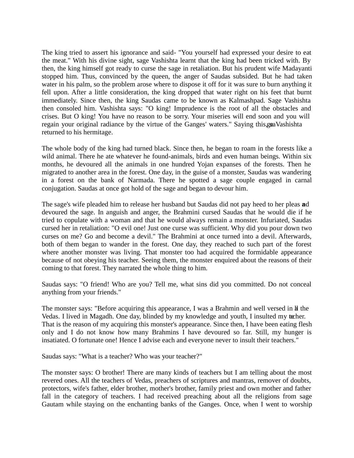The king tried to assert his ignorance and said- "You yourself had expressed your desire to eat the meat." With his divine sight, sage Vashishta learnt that the king had been tricked with. By then, the king himself got ready to curse the sage in retaliation. But his prudent wife Madayanti stopped him. Thus, convinced by the queen, the anger of Saudas subsided. But he had taken water in his palm, so the problem arose where to dispose it off for it was sure to burn anything it fell upon. After a little consideration, the king dropped that water right on his feet that burnt immediately. Since then, the king Saudas came to be known as Kalmashpad. Sage Vashishta then consoled him. Vashishta says: "O king! Imprudence is the root of all the obstacles and crises. But O king! You have no reason to be sorry. Your miseries will end soon and you will regain your original radiance by the virtue of the Ganges' waters." Saying this,gsaVashishta returned to his hermitage.

The whole body of the king had turned black. Since then, he began to roam in the forests like a wild animal. There he ate whatever he found-animals, birds and even human beings. Within six months, he devoured all the animals in one hundred Yojan expanses of the forests. Then he migrated to another area in the forest. One day, in the guise of a monster, Saudas was wandering in a forest on the bank of Narmada. There he spotted a sage couple engaged in carnal conjugation. Saudas at once got hold of the sage and began to devour him.

The sage's wife pleaded him to release her husband but Saudas did not pay heed to her pleas and devoured the sage. In anguish and anger, the Brahmini cursed Saudas that he would die if he tried to copulate with a woman and that he would always remain a monster. Infuriated, Saudas cursed her in retaliation: "O evil one! Just one curse was sufficient. Why did you pour down two curses on me? Go and become a devil." The Brahmini at once turned into a devil. Afterwards, both of them began to wander in the forest. One day, they reached to such part of the forest where another monster was living. That monster too had acquired the formidable appearance because of not obeying his teacher. Seeing them, the monster enquired about the reasons of their coming to that forest. They narrated the whole thing to him.

Saudas says: "O friend! Who are you? Tell me, what sins did you committed. Do not conceal anything from your friends."

The monster says: "Before acquiring this appearance, I was a Brahmin and well versed in  $\mathbf{h}$  the Vedas. I lived in Magadh. One day, blinded by my knowledge and youth, I insulted my tacher. That is the reason of my acquiring this monster's appearance. Since then, I have been eating flesh only and I do not know how many Brahmins I have devoured so far. Still, my hunger is insatiated. O fortunate one! Hence I advise each and everyone never to insult their teachers."

Saudas says: "What is a teacher? Who was your teacher?"

The monster says: O brother! There are many kinds of teachers but I am telling about the most revered ones. All the teachers of Vedas, preachers of scriptures and mantras, remover of doubts, protectors, wife's father, elder brother, mother's brother, family priest and own mother and father fall in the category of teachers. I had received preaching about all the religions from sage Gautam while staying on the enchanting banks of the Ganges. Once, when I went to worship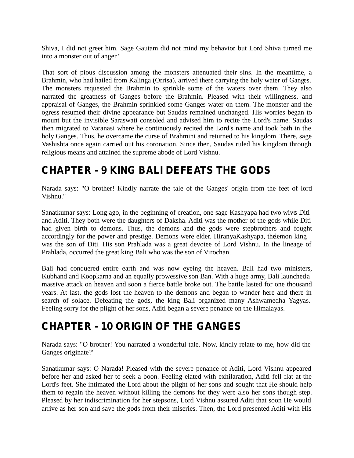Shiva, I did not greet him. Sage Gautam did not mind my behavior but Lord Shiva turned me into a monster out of anger."

That sort of pious discussion among the monsters attenuated their sins. In the meantime, a Brahmin, who had hailed from Kalinga (Orrisa), arrived there carrying the holy water of Ganges. The monsters requested the Brahmin to sprinkle some of the waters over them. They also narrated the greatness of Ganges before the Brahmin. Pleased with their willingness, and appraisal of Ganges, the Brahmin sprinkled some Ganges water on them. The monster and the ogress resumed their divine appearance but Saudas remained unchanged. His worries began to mount but the invisible Saraswati consoled and advised him to recite the Lord's name. Saudas then migrated to Varanasi where he continuously recited the Lord's name and took bath in the holy Ganges. Thus, he overcame the curse of Brahmini and returned to his kingdom. There, sage Vashishta once again carried out his coronation. Since then, Saudas ruled his kingdom through religious means and attained the supreme abode of Lord Vishnu.

# **CHAPTER - 9 KING BALI DEFEATS THE GODS**

Narada says: "O brother! Kindly narrate the tale of the Ganges' origin from the feet of lord Vishnu."

Sanatkumar says: Long ago, in the beginning of creation, one sage Kashyapa had two wives Diti and Aditi. They both were the daughters of Daksha. Aditi was the mother of the gods while Diti had given birth to demons. Thus, the demons and the gods were stepbrothers and fought accordingly for the power and prestige. Demons were elder. HiranyaKashyapa, the emon king was the son of Diti. His son Prahlada was a great devotee of Lord Vishnu. In the lineage of Prahlada, occurred the great king Bali who was the son of Virochan.

Bali had conquered entire earth and was now eyeing the heaven. Bali had two ministers, Kubhand and Koopkarna and an equally prowessive son Ban. With a huge army, Bali launched a massive attack on heaven and soon a fierce battle broke out. The battle lasted for one thousand years. At last, the gods lost the heaven to the demons and began to wander here and there in search of solace. Defeating the gods, the king Bali organized many Ashwamedha Yagyas. Feeling sorry for the plight of her sons, Aditi began a severe penance on the Himalayas.

# **CHAPTER - 10 ORIGIN OF THE GANGES**

Narada says: "O brother! You narrated a wonderful tale. Now, kindly relate to me, how did the Ganges originate?"

Sanatkumar says: O Narada! Pleased with the severe penance of Aditi, Lord Vishnu appeared before her and asked her to seek a boon. Feeling elated with exhilaration, Aditi fell flat at the Lord's feet. She intimated the Lord about the plight of her sons and sought that He should help them to regain the heaven without killing the demons for they were also her sons though step. Pleased by her indiscrimination for her stepsons, Lord Vishnu assured Aditi that soon He would arrive as her son and save the gods from their miseries. Then, the Lord presented Aditi with His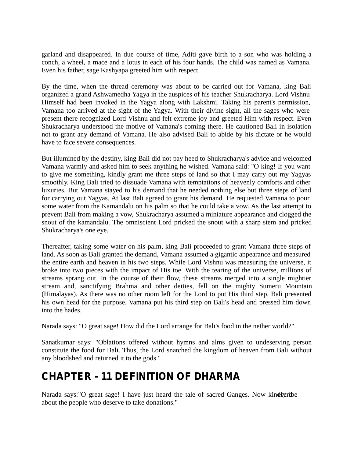garland and disappeared. In due course of time, Aditi gave birth to a son who was holding a conch, a wheel, a mace and a lotus in each of his four hands. The child was named as Vamana. Even his father, sage Kashyapa greeted him with respect.

By the time, when the thread ceremony was about to be carried out for Vamana, king Bali organized a grand Ashwamedha Yagya in the auspices of his teacher Shukracharya. Lord Vishnu Himself had been invoked in the Yagya along with Lakshmi. Taking his parent's permission, Vamana too arrived at the sight of the Yagya. With their divine sight, all the sages who were present there recognized Lord Vishnu and felt extreme joy and greeted Him with respect. Even Shukracharya understood the motive of Vamana's coming there. He cautioned Bali in isolation not to grant any demand of Vamana. He also advised Bali to abide by his dictate or he would have to face severe consequences.

But illumined by the destiny, king Bali did not pay heed to Shukracharya's advice and welcomed Vamana warmly and asked him to seek anything he wished. Vamana said: "O king! If you want to give me something, kindly grant me three steps of land so that I may carry out my Yagyas smoothly. King Bali tried to dissuade Vamana with temptations of heavenly comforts and other luxuries. But Vamana stayed to his demand that he needed nothing else but three steps of land for carrying out Yagyas. At last Bali agreed to grant his demand. He requested Vamana to pour some water from the Kamandalu on his palm so that he could take a vow. As the last attempt to prevent Bali from making a vow, Shukracharya assumed a miniature appearance and clogged the snout of the kamandalu. The omniscient Lord pricked the snout with a sharp stem and pricked Shukracharya's one eye.

Thereafter, taking some water on his palm, king Bali proceeded to grant Vamana three steps of land. As soon as Bali granted the demand, Vamana assumed a gigantic appearance and measured the entire earth and heaven in his two steps. While Lord Vishnu was measuring the universe, it broke into two pieces with the impact of His toe. With the tearing of the universe, millions of streams sprang out. In the course of their flow, these streams merged into a single mightier stream and, sanctifying Brahma and other deities, fell on the mighty Sumeru Mountain (Himalayas). As there was no other room left for the Lord to put His third step, Bali presented his own head for the purpose. Vamana put his third step on Bali's head and pressed him down into the hades.

Narada says: "O great sage! How did the Lord arrange for Bali's food in the nether world?"

Sanatkumar says: "Oblations offered without hymns and alms given to undeserving person constitute the food for Bali. Thus, the Lord snatched the kingdom of heaven from Bali without any bloodshed and returned it to the gods."

#### **CHAPTER - 11 DEFINITION OF DHARMA**

Narada says: "O great sage! I have just heard the tale of sacred Ganges. Now kinder where about the people who deserve to take donations."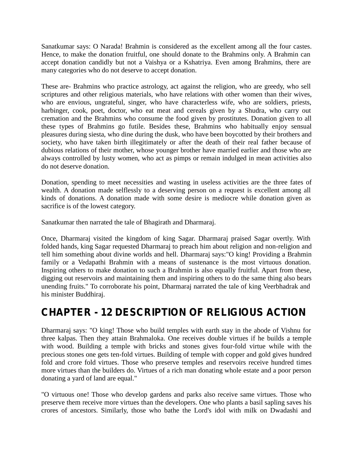Sanatkumar says: O Narada! Brahmin is considered as the excellent among all the four castes. Hence, to make the donation fruitful, one should donate to the Brahmins only. A Brahmin can accept donation candidly but not a Vaishya or a Kshatriya. Even among Brahmins, there are many categories who do not deserve to accept donation.

These are- Brahmins who practice astrology, act against the religion, who are greedy, who sell scriptures and other religious materials, who have relations with other women than their wives, who are envious, ungrateful, singer, who have characterless wife, who are soldiers, priests, harbinger, cook, poet, doctor, who eat meat and cereals given by a Shudra, who carry out cremation and the Brahmins who consume the food given by prostitutes. Donation given to all these types of Brahmins go futile. Besides these, Brahmins who habitually enjoy sensual pleasures during siesta, who dine during the dusk, who have been boycotted by their brothers and society, who have taken birth illegitimately or after the death of their real father because of dubious relations of their mother, whose younger brother have married earlier and those who are always controlled by lusty women, who act as pimps or remain indulged in mean activities also do not deserve donation.

Donation, spending to meet necessities and wasting in useless activities are the three fates of wealth. A donation made selflessly to a deserving person on a request is excellent among all kinds of donations. A donation made with some desire is mediocre while donation given as sacrifice is of the lowest category.

Sanatkumar then narrated the tale of Bhagirath and Dharmaraj.

Once, Dharmaraj visited the kingdom of king Sagar. Dharmaraj praised Sagar overtly. With folded hands, king Sagar requested Dharmaraj to preach him about religion and non-religion and tell him something about divine worlds and hell. Dharmaraj says:"O king! Providing a Brahmin family or a Vedapathi Brahmin with a means of sustenance is the most virtuous donation. Inspiring others to make donation to such a Brahmin is also equally fruitful. Apart from these, digging out reservoirs and maintaining them and inspiring others to do the same thing also bears unending fruits." To corroborate his point, Dharmaraj narrated the tale of king Veerbhadrak and his minister Buddhiraj.

# **CHAPTER - 12 DESCRIPTION OF RELIGIOUS ACTION**

Dharmaraj says: "O king! Those who build temples with earth stay in the abode of Vishnu for three kalpas. Then they attain Brahmaloka. One receives double virtues if he builds a temple with wood. Building a temple with bricks and stones gives four-fold virtue while with the precious stones one gets ten-fold virtues. Building of temple with copper and gold gives hundred fold and crore fold virtues. Those who preserve temples and reservoirs receive hundred times more virtues than the builders do. Virtues of a rich man donating whole estate and a poor person donating a yard of land are equal."

"O virtuous one! Those who develop gardens and parks also receive same virtues. Those who preserve them receive more virtues than the developers. One who plants a basil sapling saves his crores of ancestors. Similarly, those who bathe the Lord's idol with milk on Dwadashi and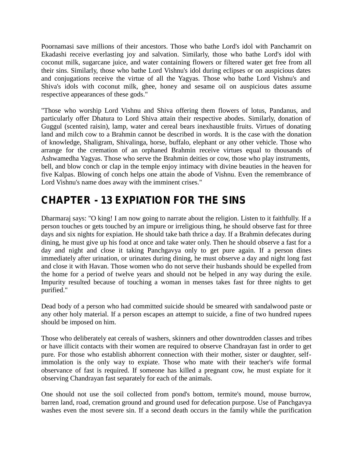Poornamasi save millions of their ancestors. Those who bathe Lord's idol with Panchamrit on Ekadashi receive everlasting joy and salvation. Similarly, those who bathe Lord's idol with coconut milk, sugarcane juice, and water containing flowers or filtered water get free from all their sins. Similarly, those who bathe Lord Vishnu's idol during eclipses or on auspicious dates and conjugations receive the virtue of all the Yagyas. Those who bathe Lord Vishnu's and Shiva's idols with coconut milk, ghee, honey and sesame oil on auspicious dates assume respective appearances of these gods."

"Those who worship Lord Vishnu and Shiva offering them flowers of lotus, Pandanus, and particularly offer Dhatura to Lord Shiva attain their respective abodes. Similarly, donation of Guggul (scented raisin), lamp, water and cereal bears inexhaustible fruits. Virtues of donating land and milch cow to a Brahmin cannot be described in words. It is the case with the donation of knowledge, Shaligram, Shivalinga, horse, buffalo, elephant or any other vehicle. Those who arrange for the cremation of an orphaned Brahmin receive virtues equal to thousands of Ashwamedha Yagyas. Those who serve the Brahmin deities or cow, those who play instruments, bell, and blow conch or clap in the temple enjoy intimacy with divine beauties in the heaven for five Kalpas. Blowing of conch helps one attain the abode of Vishnu. Even the remembrance of Lord Vishnu's name does away with the imminent crises."

# **CHAPTER - 13 EXPIATION FOR THE SINS**

Dharmaraj says: "O king! I am now going to narrate about the religion. Listen to it faithfully. If a person touches or gets touched by an impure or irreligious thing, he should observe fast for three days and six nights for expiation. He should take bath thrice a day. If a Brahmin defecates during dining, he must give up his food at once and take water only. Then he should observe a fast for a day and night and close it taking Panchgavya only to get pure again. If a person dines immediately after urination, or urinates during dining, he must observe a day and night long fast and close it with Havan. Those women who do not serve their husbands should be expelled from the home for a period of twelve years and should not be helped in any way during the exile. Impurity resulted because of touching a woman in menses takes fast for three nights to get purified."

Dead body of a person who had committed suicide should be smeared with sandalwood paste or any other holy material. If a person escapes an attempt to suicide, a fine of two hundred rupees should be imposed on him.

Those who deliberately eat cereals of washers, skinners and other downtrodden classes and tribes or have illicit contacts with their women are required to observe Chandrayan fast in order to get pure. For those who establish abhorrent connection with their mother, sister or daughter, selfimmolation is the only way to expiate. Those who mate with their teacher's wife formal observance of fast is required. If someone has killed a pregnant cow, he must expiate for it observing Chandrayan fast separately for each of the animals.

One should not use the soil collected from pond's bottom, termite's mound, mouse burrow, barren land, road, cremation ground and ground used for defecation purpose. Use of Panchgavya washes even the most severe sin. If a second death occurs in the family while the purification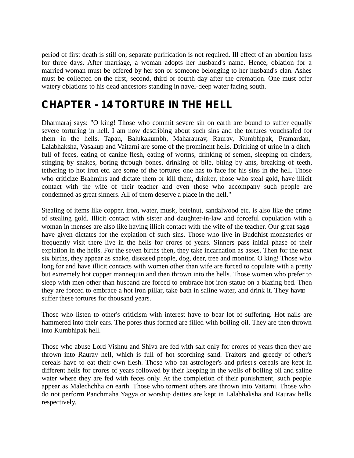period of first death is still on; separate purification is not required. Ill effect of an abortion lasts for three days. After marriage, a woman adopts her husband's name. Hence, oblation for a married woman must be offered by her son or someone belonging to her husband's clan. Ashes must be collected on the first, second, third or fourth day after the cremation. One must offer watery oblations to his dead ancestors standing in navel-deep water facing south.

# **CHAPTER - 14 TORTURE IN THE HELL**

Dharmaraj says: "O king! Those who commit severe sin on earth are bound to suffer equally severe torturing in hell. I am now describing about such sins and the tortures vouchsafed for them in the hells. Tapan, Balukakumbh, Maharaurav, Raurav, Kumbhipak, Pramardan, Lalabhaksha, Vasakup and Vaitarni are some of the prominent hells. Drinking of urine in a ditch full of feces, eating of canine flesh, eating of worms, drinking of semen, sleeping on cinders, stinging by snakes, boring through bones, drinking of bile, biting by ants, breaking of teeth, tethering to hot iron etc. are some of the tortures one has to face for his sins in the hell. Those who criticize Brahmins and dictate them or kill them, drinker, those who steal gold, have illicit contact with the wife of their teacher and even those who accompany such people are condemned as great sinners. All of them deserve a place in the hell."

Stealing of items like copper, iron, water, musk, betelnut, sandalwood etc. is also like the crime of stealing gold. Illicit contact with sister and daughter-in-law and forceful copulation with a woman in menses are also like having illicit contact with the wife of the teacher. Our great sages have given dictates for the expiation of such sins. Those who live in Buddhist monasteries or frequently visit there live in the hells for crores of years. Sinners pass initial phase of their expiation in the hells. For the seven births then, they take incarnation as asses. Then for the next six births, they appear as snake, diseased people, dog, deer, tree and monitor. O king! Those who long for and have illicit contacts with women other than wife are forced to copulate with a pretty but extremely hot copper mannequin and then thrown into the hells. Those women who prefer to sleep with men other than husband are forced to embrace hot iron statue on a blazing bed. Then they are forced to embrace a hot iron pillar, take bath in saline water, and drink it. They havto suffer these tortures for thousand years.

Those who listen to other's criticism with interest have to bear lot of suffering. Hot nails are hammered into their ears. The pores thus formed are filled with boiling oil. They are then thrown into Kumbhipak hell.

Those who abuse Lord Vishnu and Shiva are fed with salt only for crores of years then they are thrown into Raurav hell, which is full of hot scorching sand. Traitors and greedy of other's cereals have to eat their own flesh. Those who eat astrologer's and priest's cereals are kept in different hells for crores of years followed by their keeping in the wells of boiling oil and saline water where they are fed with feces only. At the completion of their punishment, such people appear as Malechchha on earth. Those who torment others are thrown into Vaitarni. Those who do not perform Panchmaha Yagya or worship deities are kept in Lalabhaksha and Raurav hells respectively.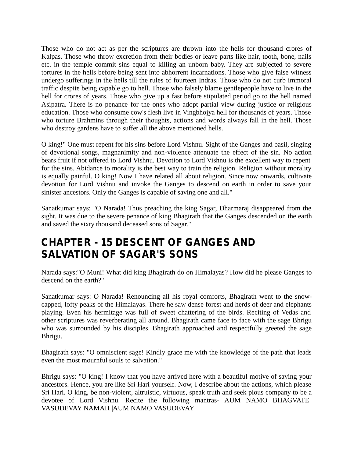Those who do not act as per the scriptures are thrown into the hells for thousand crores of Kalpas. Those who throw excretion from their bodies or leave parts like hair, tooth, bone, nails etc. in the temple commit sins equal to killing an unborn baby. They are subjected to severe tortures in the hells before being sent into abhorrent incarnations. Those who give false witness undergo sufferings in the hells till the rules of fourteen Indras. Those who do not curb immoral traffic despite being capable go to hell. Those who falsely blame gentlepeople have to live in the hell for crores of years. Those who give up a fast before stipulated period go to the hell named Asipatra. There is no penance for the ones who adopt partial view during justice or religious education. Those who consume cow's flesh live in Vingbhojya hell for thousands of years. Those who torture Brahmins through their thoughts, actions and words always fall in the hell. Those who destroy gardens have to suffer all the above mentioned hells.

O king!" One must repent for his sins before Lord Vishnu. Sight of the Ganges and basil, singing of devotional songs, magnanimity and non-violence attenuate the effect of the sin. No action bears fruit if not offered to Lord Vishnu. Devotion to Lord Vishnu is the excellent way to repent for the sins. Abidance to morality is the best way to train the religion. Religion without morality is equally painful. O king! Now I have related all about religion. Since now onwards, cultivate devotion for Lord Vishnu and invoke the Ganges to descend on earth in order to save your sinister ancestors. Only the Ganges is capable of saving one and all."

Sanatkumar says: "O Narada! Thus preaching the king Sagar, Dharmaraj disappeared from the sight. It was due to the severe penance of king Bhagirath that the Ganges descended on the earth and saved the sixty thousand deceased sons of Sagar."

#### **CHAPTER - 15 DESCENT OF GANGES AND SALVATION OF SAGAR'S SONS**

Narada says:"O Muni! What did king Bhagirath do on Himalayas? How did he please Ganges to descend on the earth?"

Sanatkumar says: O Narada! Renouncing all his royal comforts, Bhagirath went to the snowcapped, lofty peaks of the Himalayas. There he saw dense forest and herds of deer and elephants playing. Even his hermitage was full of sweet chattering of the birds. Reciting of Vedas and other scriptures was reverberating all around. Bhagirath came face to face with the sage Bhrigu who was surrounded by his disciples. Bhagirath approached and respectfully greeted the sage Bhrigu.

Bhagirath says: "O omniscient sage! Kindly grace me with the knowledge of the path that leads even the most mournful souls to salvation."

Bhrigu says: "O king! I know that you have arrived here with a beautiful motive of saving your ancestors. Hence, you are like Sri Hari yourself. Now, I describe about the actions, which please Sri Hari. O king, be non-violent, altruistic, virtuous, speak truth and seek pious company to be a devotee of Lord Vishnu. Recite the following mantras- AUM NAMO BHAGVATE VASUDEVAY NAMAH |AUM NAMO VASUDEVAY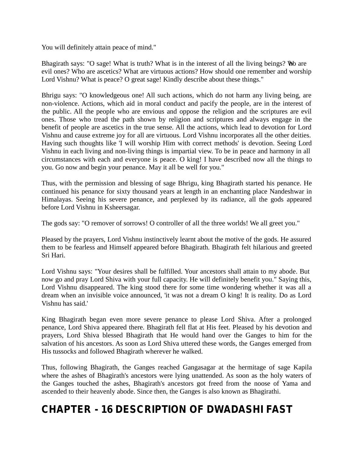You will definitely attain peace of mind."

Bhagirath says: "O sage! What is truth? What is in the interest of all the living beings? Wo are evil ones? Who are ascetics? What are virtuous actions? How should one remember and worship Lord Vishnu? What is peace? O great sage! Kindly describe about these things."

Bhrigu says: "O knowledgeous one! All such actions, which do not harm any living being, are non-violence. Actions, which aid in moral conduct and pacify the people, are in the interest of the public. All the people who are envious and oppose the religion and the scriptures are evil ones. Those who tread the path shown by religion and scriptures and always engage in the benefit of people are ascetics in the true sense. All the actions, which lead to devotion for Lord Vishnu and cause extreme joy for all are virtuous. Lord Vishnu incorporates all the other deities. Having such thoughts like 'I will worship Him with correct methods' is devotion. Seeing Lord Vishnu in each living and non-living things is impartial view. To be in peace and harmony in all circumstances with each and everyone is peace. O king! I have described now all the things to you. Go now and begin your penance. May it all be well for you."

Thus, with the permission and blessing of sage Bhrigu, king Bhagirath started his penance. He continued his penance for sixty thousand years at length in an enchanting place Nandeshwar in Himalayas. Seeing his severe penance, and perplexed by its radiance, all the gods appeared before Lord Vishnu in Ksheersagar.

The gods say: "O remover of sorrows! O controller of all the three worlds! We all greet you."

Pleased by the prayers, Lord Vishnu instinctively learnt about the motive of the gods. He assured them to be fearless and Himself appeared before Bhagirath. Bhagirath felt hilarious and greeted Sri Hari.

Lord Vishnu says: "Your desires shall be fulfilled. Your ancestors shall attain to my abode. But now go and pray Lord Shiva with your full capacity. He will definitely benefit you." Saying this, Lord Vishnu disappeared. The king stood there for some time wondering whether it was all a dream when an invisible voice announced, 'it was not a dream O king! It is reality. Do as Lord Vishnu has said.'

King Bhagirath began even more severe penance to please Lord Shiva. After a prolonged penance, Lord Shiva appeared there. Bhagirath fell flat at His feet. Pleased by his devotion and prayers, Lord Shiva blessed Bhagirath that He would hand over the Ganges to him for the salvation of his ancestors. As soon as Lord Shiva uttered these words, the Ganges emerged from His tussocks and followed Bhagirath wherever he walked.

Thus, following Bhagirath, the Ganges reached Gangasagar at the hermitage of sage Kapila where the ashes of Bhagirath's ancestors were lying unattended. As soon as the holy waters of the Ganges touched the ashes, Bhagirath's ancestors got freed from the noose of Yama and ascended to their heavenly abode. Since then, the Ganges is also known as Bhagirathi.

#### **CHAPTER - 16 DESCRIPTION OF DWADASHI FAST**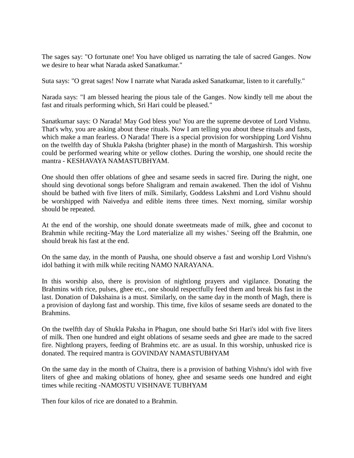The sages say: "O fortunate one! You have obliged us narrating the tale of sacred Ganges. Now we desire to hear what Narada asked Sanatkumar."

Suta says: "O great sages! Now I narrate what Narada asked Sanatkumar, listen to it carefully."

Narada says: "I am blessed hearing the pious tale of the Ganges. Now kindly tell me about the fast and rituals performing which, Sri Hari could be pleased."

Sanatkumar says: O Narada! May God bless you! You are the supreme devotee of Lord Vishnu. That's why, you are asking about these rituals. Now I am telling you about these rituals and fasts, which make a man fearless. O Narada! There is a special provision for worshipping Lord Vishnu on the twelfth day of Shukla Paksha (brighter phase) in the month of Margashirsh. This worship could be performed wearing white or yellow clothes. During the worship, one should recite the mantra - KESHAVAYA NAMASTUBHYAM.

One should then offer oblations of ghee and sesame seeds in sacred fire. During the night, one should sing devotional songs before Shaligram and remain awakened. Then the idol of Vishnu should be bathed with five liters of milk. Similarly, Goddess Lakshmi and Lord Vishnu should be worshipped with Naivedya and edible items three times. Next morning, similar worship should be repeated.

At the end of the worship, one should donate sweetmeats made of milk, ghee and coconut to Brahmin while reciting-'May the Lord materialize all my wishes.' Seeing off the Brahmin, one should break his fast at the end.

On the same day, in the month of Pausha, one should observe a fast and worship Lord Vishnu's idol bathing it with milk while reciting NAMO NARAYANA.

In this worship also, there is provision of nightlong prayers and vigilance. Donating the Brahmins with rice, pulses, ghee etc., one should respectfully feed them and break his fast in the last. Donation of Dakshaina is a must. Similarly, on the same day in the month of Magh, there is a provision of daylong fast and worship. This time, five kilos of sesame seeds are donated to the Brahmins.

On the twelfth day of Shukla Paksha in Phagun, one should bathe Sri Hari's idol with five liters of milk. Then one hundred and eight oblations of sesame seeds and ghee are made to the sacred fire. Nightlong prayers, feeding of Brahmins etc. are as usual. In this worship, unhusked rice is donated. The required mantra is GOVINDAY NAMASTUBHYAM

On the same day in the month of Chaitra, there is a provision of bathing Vishnu's idol with five liters of ghee and making oblations of honey, ghee and sesame seeds one hundred and eight times while reciting -NAMOSTU VISHNAVE TUBHYAM

Then four kilos of rice are donated to a Brahmin.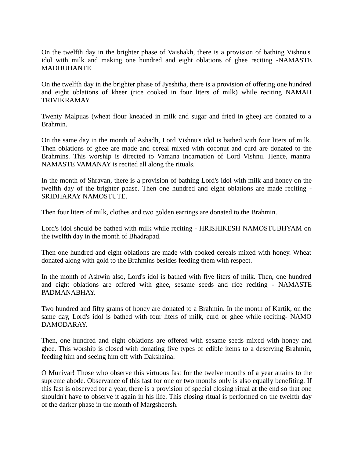On the twelfth day in the brighter phase of Vaishakh, there is a provision of bathing Vishnu's idol with milk and making one hundred and eight oblations of ghee reciting -NAMASTE MADHUHANTE

On the twelfth day in the brighter phase of Jyeshtha, there is a provision of offering one hundred and eight oblations of kheer (rice cooked in four liters of milk) while reciting NAMAH TRIVIKRAMAY.

Twenty Malpuas (wheat flour kneaded in milk and sugar and fried in ghee) are donated to a Brahmin.

On the same day in the month of Ashadh, Lord Vishnu's idol is bathed with four liters of milk. Then oblations of ghee are made and cereal mixed with coconut and curd are donated to the Brahmins. This worship is directed to Vamana incarnation of Lord Vishnu. Hence, mantra NAMASTE VAMANAY is recited all along the rituals.

In the month of Shravan, there is a provision of bathing Lord's idol with milk and honey on the twelfth day of the brighter phase. Then one hundred and eight oblations are made reciting - SRIDHARAY NAMOSTUTE.

Then four liters of milk, clothes and two golden earrings are donated to the Brahmin.

Lord's idol should be bathed with milk while reciting - HRISHIKESH NAMOSTUBHYAM on the twelfth day in the month of Bhadrapad.

Then one hundred and eight oblations are made with cooked cereals mixed with honey. Wheat donated along with gold to the Brahmins besides feeding them with respect.

In the month of Ashwin also, Lord's idol is bathed with five liters of milk. Then, one hundred and eight oblations are offered with ghee, sesame seeds and rice reciting - NAMASTE PADMANABHAY.

Two hundred and fifty grams of honey are donated to a Brahmin. In the month of Kartik, on the same day, Lord's idol is bathed with four liters of milk, curd or ghee while reciting- NAMO DAMODARAY.

Then, one hundred and eight oblations are offered with sesame seeds mixed with honey and ghee. This worship is closed with donating five types of edible items to a deserving Brahmin, feeding him and seeing him off with Dakshaina.

O Munivar! Those who observe this virtuous fast for the twelve months of a year attains to the supreme abode. Observance of this fast for one or two months only is also equally benefiting. If this fast is observed for a year, there is a provision of special closing ritual at the end so that one shouldn't have to observe it again in his life. This closing ritual is performed on the twelfth day of the darker phase in the month of Margsheersh.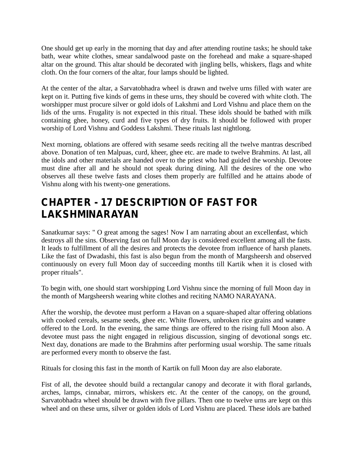One should get up early in the morning that day and after attending routine tasks; he should take bath, wear white clothes, smear sandalwood paste on the forehead and make a square-shaped altar on the ground. This altar should be decorated with jingling bells, whiskers, flags and white cloth. On the four corners of the altar, four lamps should be lighted.

At the center of the altar, a Sarvatobhadra wheel is drawn and twelve urns filled with water are kept on it. Putting five kinds of gems in these urns, they should be covered with white cloth. The worshipper must procure silver or gold idols of Lakshmi and Lord Vishnu and place them on the lids of the urns. Frugality is not expected in this ritual. These idols should be bathed with milk containing ghee, honey, curd and five types of dry fruits. It should be followed with proper worship of Lord Vishnu and Goddess Lakshmi. These rituals last nightlong.

Next morning, oblations are offered with sesame seeds reciting all the twelve mantras described above. Donation of ten Malpuas, curd, kheer, ghee etc. are made to twelve Brahmins. At last, all the idols and other materials are handed over to the priest who had guided the worship. Devotee must dine after all and he should not speak during dining. All the desires of the one who observes all these twelve fasts and closes them properly are fulfilled and he attains abode of Vishnu along with his twenty-one generations.

#### **CHAPTER - 17 DESCRIPTION OF FAST FOR LAKSHMINARAYAN**

Sanatkumar says: " O great among the sages! Now I am narrating about an excellenfast, which destroys all the sins. Observing fast on full Moon day is considered excellent among all the fasts. It leads to fulfillment of all the desires and protects the devotee from influence of harsh planets. Like the fast of Dwadashi, this fast is also begun from the month of Margsheersh and observed continuously on every full Moon day of succeeding months till Kartik when it is closed with proper rituals".

To begin with, one should start worshipping Lord Vishnu since the morning of full Moon day in the month of Margsheersh wearing white clothes and reciting NAMO NARAYANA.

After the worship, the devotee must perform a Havan on a square-shaped altar offering oblations with cooked cereals, sesame seeds, ghee etc. White flowers, unbroken rice grains and waterre offered to the Lord. In the evening, the same things are offered to the rising full Moon also. A devotee must pass the night engaged in religious discussion, singing of devotional songs etc. Next day, donations are made to the Brahmins after performing usual worship. The same rituals are performed every month to observe the fast.

Rituals for closing this fast in the month of Kartik on full Moon day are also elaborate.

Fist of all, the devotee should build a rectangular canopy and decorate it with floral garlands, arches, lamps, cinnabar, mirrors, whiskers etc. At the center of the canopy, on the ground, Sarvatobhadra wheel should be drawn with five pillars. Then one to twelve urns are kept on this wheel and on these urns, silver or golden idols of Lord Vishnu are placed. These idols are bathed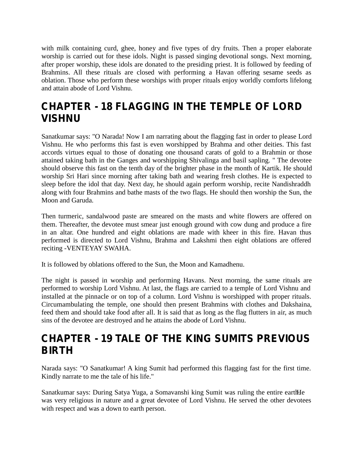with milk containing curd, ghee, honey and five types of dry fruits. Then a proper elaborate worship is carried out for these idols. Night is passed singing devotional songs. Next morning, after proper worship, these idols are donated to the presiding priest. It is followed by feeding of Brahmins. All these rituals are closed with performing a Havan offering sesame seeds as oblation. Those who perform these worships with proper rituals enjoy worldly comforts lifelong and attain abode of Lord Vishnu.

#### **CHAPTER - 18 FLAGGING IN THE TEMPLE OF LORD VISHNU**

Sanatkumar says: "O Narada! Now I am narrating about the flagging fast in order to please Lord Vishnu. He who performs this fast is even worshipped by Brahma and other deities. This fast accords virtues equal to those of donating one thousand carats of gold to a Brahmin or those attained taking bath in the Ganges and worshipping Shivalinga and basil sapling. " The devotee should observe this fast on the tenth day of the brighter phase in the month of Kartik. He should worship Sri Hari since morning after taking bath and wearing fresh clothes. He is expected to sleep before the idol that day. Next day, he should again perform worship, recite Nandishraddh along with four Brahmins and bathe masts of the two flags. He should then worship the Sun, the Moon and Garuda.

Then turmeric, sandalwood paste are smeared on the masts and white flowers are offered on them. Thereafter, the devotee must smear just enough ground with cow dung and produce a fire in an altar. One hundred and eight oblations are made with kheer in this fire. Havan thus performed is directed to Lord Vishnu, Brahma and Lakshmi then eight oblations are offered reciting -VENTEYAY SWAHA.

It is followed by oblations offered to the Sun, the Moon and Kamadhenu.

The night is passed in worship and performing Havans. Next morning, the same rituals are performed to worship Lord Vishnu. At last, the flags are carried to a temple of Lord Vishnu and installed at the pinnacle or on top of a column. Lord Vishnu is worshipped with proper rituals. Circumambulating the temple, one should then present Brahmins with clothes and Dakshaina, feed them and should take food after all. It is said that as long as the flag flutters in air, as much sins of the devotee are destroyed and he attains the abode of Lord Vishnu.

#### **CHAPTER - 19 TALE OF THE KING SUMITS PREVIOUS BIRTH**

Narada says: "O Sanatkumar! A king Sumit had performed this flagging fast for the first time. Kindly narrate to me the tale of his life."

Sanatkumar says: During Satya Yuga, a Somavanshi king Sumit was ruling the entire earthHe was very religious in nature and a great devotee of Lord Vishnu. He served the other devotees with respect and was a down to earth person.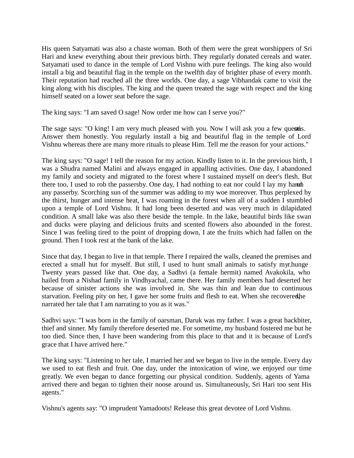His queen Satyamati was also a chaste woman. Both of them were the great worshippers of Sri Hari and knew everything about their previous birth. They regularly donated cereals and water. Satyamati used to dance in the temple of Lord Vishnu with pure feelings. The king also would install a big and beautiful flag in the temple on the twelfth day of brighter phase of every month. Their reputation had reached all the three worlds. One day, a sage Vibhandak came to visit the king along with his disciples. The king and the queen treated the sage with respect and the king himself seated on a lower seat before the sage.

The king says: "I am saved O sage! Now order me how can I serve you?"

The sage says: "O king! I am very much pleased with you. Now I will ask you a few questis. Answer them honestly. You regularly install a big and beautiful flag in the temple of Lord Vishnu whereas there are many more rituals to please Him. Tell me the reason for your actions."

The king says: "O sage! I tell the reason for my action. Kindly listen to it. In the previous birth, I was a Shudra named Malini and always engaged in appalling activities. One day, I abandoned my family and society and migrated to the forest where I sustained myself on deer's flesh. But there too, I used to rob the passersby. One day, I had nothing to eat nor could I lay my hanoh any passerby. Scorching sun of the summer was adding to my woe moreover. Thus perplexed by the thirst, hunger and intense heat, I was roaming in the forest when all of a sudden I stumbled upon a temple of Lord Vishnu. It had long been deserted and was very much in dilapidated condition. A small lake was also there beside the temple. In the lake, beautiful birds like swan and ducks were playing and delicious fruits and scented flowers also abounded in the forest. Since I was feeling tired to the point of dropping down, I ate the fruits which had fallen on the ground. Then I took rest at the bank of the lake.

Since that day, I began to live in that temple. There I repaired the walls, cleaned the premises and erected a small hut for myself. But still, I used to hunt small animals to satisfy myr.hunge Twenty years passed like that. One day, a Sadhvi (a female hermit) named Avakokila, who hailed from a Nishad family in Vindhyachal, came there. Her family members had deserted her because of sinister actions she was involved in. She was thin and lean due to continuous starvation. Feeling pity on her, I gave her some fruits and flesh to eat. When she recovered he narrated her tale that I am narrating to you as it was."

Sadhvi says: "I was born in the family of oarsman, Daruk was my father. I was a great backbiter, thief and sinner. My family therefore deserted me. For sometime, my husband fostered me but he too died. Since then, I have been wandering from this place to that and it is because of Lord's grace that I have arrived here."

The king says: "Listening to her tale, I married her and we began to live in the temple. Every day we used to eat flesh and fruit. One day, under the intoxication of wine, we enjoyed our time greatly. We even began to dance forgetting our physical condition. Suddenly, agents of Yama arrived there and began to tighten their noose around us. Simultaneously, Sri Hari too sent His agents."

Vishnu's agents say: "O imprudent Yamadoots! Release this great devotee of Lord Vishnu.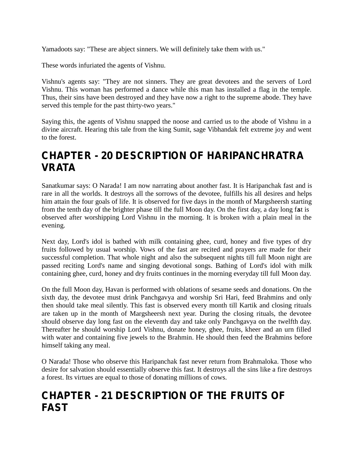Yamadoots say: "These are abject sinners. We will definitely take them with us."

These words infuriated the agents of Vishnu.

Vishnu's agents say: "They are not sinners. They are great devotees and the servers of Lord Vishnu. This woman has performed a dance while this man has installed a flag in the temple. Thus, their sins have been destroyed and they have now a right to the supreme abode. They have served this temple for the past thirty-two years."

Saying this, the agents of Vishnu snapped the noose and carried us to the abode of Vishnu in a divine aircraft. Hearing this tale from the king Sumit, sage Vibhandak felt extreme joy and went to the forest.

#### **CHAPTER - 20 DESCRIPTION OF HARIPANCHRATRA VRATA**

Sanatkumar says: O Narada! I am now narrating about another fast. It is Haripanchak fast and is rare in all the worlds. It destroys all the sorrows of the devotee, fulfills his all desires and helps him attain the four goals of life. It is observed for five days in the month of Margsheersh starting from the tenth day of the brighter phase till the full Moon day. On the first day, a day long fast is observed after worshipping Lord Vishnu in the morning. It is broken with a plain meal in the evening.

Next day, Lord's idol is bathed with milk containing ghee, curd, honey and five types of dry fruits followed by usual worship. Vows of the fast are recited and prayers are made for their successful completion. That whole night and also the subsequent nights till full Moon night are passed reciting Lord's name and singing devotional songs. Bathing of Lord's idol with milk containing ghee, curd, honey and dry fruits continues in the morning everyday till full Moon day.

On the full Moon day, Havan is performed with oblations of sesame seeds and donations. On the sixth day, the devotee must drink Panchgavya and worship Sri Hari, feed Brahmins and only then should take meal silently. This fast is observed every month till Kartik and closing rituals are taken up in the month of Margsheersh next year. During the closing rituals, the devotee should observe day long fast on the eleventh day and take only Panchgavya on the twelfth day. Thereafter he should worship Lord Vishnu, donate honey, ghee, fruits, kheer and an urn filled with water and containing five jewels to the Brahmin. He should then feed the Brahmins before himself taking any meal.

O Narada! Those who observe this Haripanchak fast never return from Brahmaloka. Those who desire for salvation should essentially observe this fast. It destroys all the sins like a fire destroys a forest. Its virtues are equal to those of donating millions of cows.

#### **CHAPTER - 21 DESCRIPTION OF THE FRUITS OF FAST**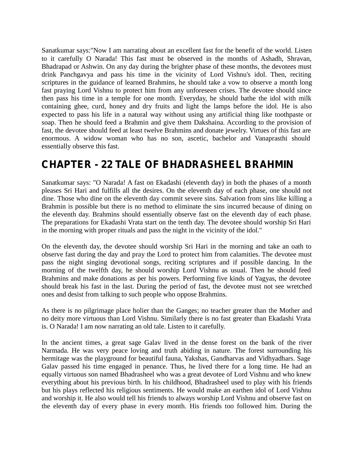Sanatkumar says:"Now I am narrating about an excellent fast for the benefit of the world. Listen to it carefully O Narada! This fast must be observed in the months of Ashadh, Shravan, Bhadrapad or Ashwin. On any day during the brighter phase of these months, the devotees must drink Panchgavya and pass his time in the vicinity of Lord Vishnu's idol. Then, reciting scriptures in the guidance of learned Brahmins, he should take a vow to observe a month long fast praying Lord Vishnu to protect him from any unforeseen crises. The devotee should since then pass his time in a temple for one month. Everyday, he should bathe the idol with milk containing ghee, curd, honey and dry fruits and light the lamps before the idol. He is also expected to pass his life in a natural way without using any artificial thing like toothpaste or soap. Then he should feed a Brahmin and give them Dakshaina. According to the provision of fast, the devotee should feed at least twelve Brahmins and donate jewelry. Virtues of this fast are enormous. A widow woman who has no son, ascetic, bachelor and Vanaprasthi should essentially observe this fast.

#### **CHAPTER - 22 TALE OF BHADRASHEEL BRAHMIN**

Sanatkumar says: "O Narada! A fast on Ekadashi (eleventh day) in both the phases of a month pleases Sri Hari and fulfills all the desires. On the eleventh day of each phase, one should not dine. Those who dine on the eleventh day commit severe sins. Salvation from sins like killing a Brahmin is possible but there is no method to eliminate the sins incurred because of dining on the eleventh day. Brahmins should essentially observe fast on the eleventh day of each phase. The preparations for Ekadashi Vrata start on the tenth day. The devotee should worship Sri Hari in the morning with proper rituals and pass the night in the vicinity of the idol."

On the eleventh day, the devotee should worship Sri Hari in the morning and take an oath to observe fast during the day and pray the Lord to protect him from calamities. The devotee must pass the night singing devotional songs, reciting scriptures and if possible dancing. In the morning of the twelfth day, he should worship Lord Vishnu as usual. Then he should feed Brahmins and make donations as per his powers. Performing five kinds of Yagyas, the devotee should break his fast in the last. During the period of fast, the devotee must not see wretched ones and desist from talking to such people who oppose Brahmins.

As there is no pilgrimage place holier than the Ganges; no teacher greater than the Mother and no deity more virtuous than Lord Vishnu. Similarly there is no fast greater than Ekadashi Vrata is. O Narada! I am now narrating an old tale. Listen to it carefully.

In the ancient times, a great sage Galav lived in the dense forest on the bank of the river Narmada. He was very peace loving and truth abiding in nature. The forest surrounding his hermitage was the playground for beautiful fauna, Yakshas, Gandharvas and Vidhyadhars. Sage Galav passed his time engaged in penance. Thus, he lived there for a long time. He had an equally virtuous son named Bhadrasheel who was a great devotee of Lord Vishnu and who knew everything about his previous birth. In his childhood, Bhadrasheel used to play with his friends but his plays reflected his religious sentiments. He would make an earthen idol of Lord Vishnu and worship it. He also would tell his friends to always worship Lord Vishnu and observe fast on the eleventh day of every phase in every month. His friends too followed him. During the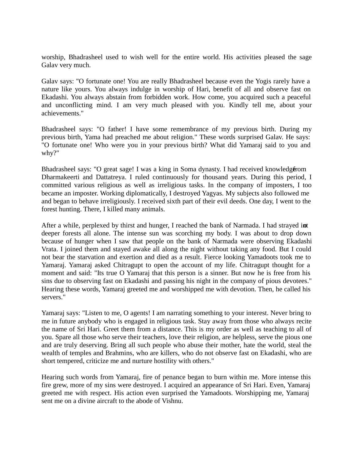worship, Bhadrasheel used to wish well for the entire world. His activities pleased the sage Galav very much.

Galav says: "O fortunate one! You are really Bhadrasheel because even the Yogis rarely have a nature like yours. You always indulge in worship of Hari, benefit of all and observe fast on Ekadashi. You always abstain from forbidden work. How come, you acquired such a peaceful and unconflicting mind. I am very much pleased with you. Kindly tell me, about your achievements."

Bhadrasheel says: "O father! I have some remembrance of my previous birth. During my previous birth, Yama had preached me about religion." These words surprised Galav. He says: "O fortunate one! Who were you in your previous birth? What did Yamaraj said to you and why?"

Bhadrasheel says: "O great sage! I was a king in Soma dynasty. I had received knowledgefrom Dharmakeerti and Dattatreya. I ruled continuously for thousand years. During this period, I committed various religious as well as irreligious tasks. In the company of imposters, I too became an imposter. Working diplomatically, I destroyed Yagyas. My subjects also followed me and began to behave irreligiously. I received sixth part of their evil deeds. One day, I went to the forest hunting. There, I killed many animals.

After a while, perplexed by thirst and hunger, I reached the bank of Narmada. I had strayed int deeper forests all alone. The intense sun was scorching my body. I was about to drop down because of hunger when I saw that people on the bank of Narmada were observing Ekadashi Vrata. I joined them and stayed awake all along the night without taking any food. But I could not bear the starvation and exertion and died as a result. Fierce looking Yamadoots took me to Yamaraj. Yamaraj asked Chitragupt to open the account of my life. Chitragupt thought for a moment and said: "Its true O Yamaraj that this person is a sinner. But now he is free from his sins due to observing fast on Ekadashi and passing his night in the company of pious devotees." Hearing these words, Yamaraj greeted me and worshipped me with devotion. Then, he called his servers."

Yamaraj says: "Listen to me, O agents! I am narrating something to your interest. Never bring to me in future anybody who is engaged in religious task. Stay away from those who always recite the name of Sri Hari. Greet them from a distance. This is my order as well as teaching to all of you. Spare all those who serve their teachers, love their religion, are helpless, serve the pious one and are truly deserving. Bring all such people who abuse their mother, hate the world, steal the wealth of temples and Brahmins, who are killers, who do not observe fast on Ekadashi, who are short tempered, criticize me and nurture hostility with others."

Hearing such words from Yamaraj, fire of penance began to burn within me. More intense this fire grew, more of my sins were destroyed. I acquired an appearance of Sri Hari. Even, Yamaraj greeted me with respect. His action even surprised the Yamadoots. Worshipping me, Yamaraj sent me on a divine aircraft to the abode of Vishnu.